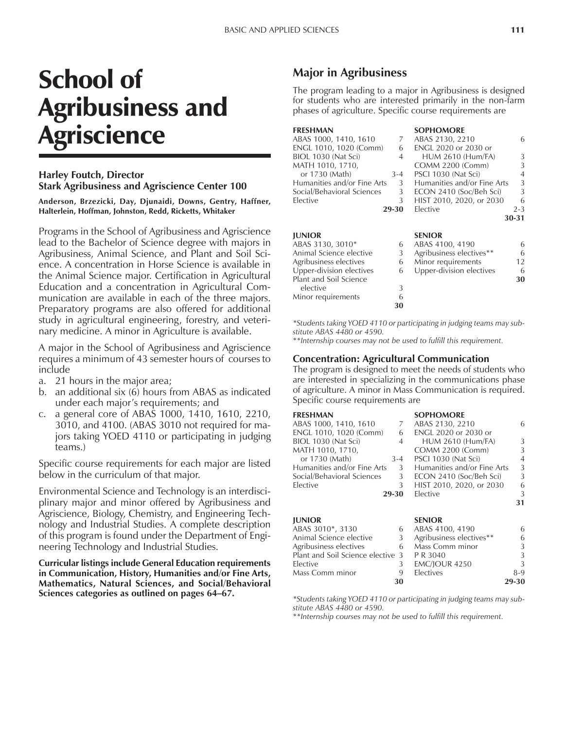# School of Agribusiness and Agriscience

#### **Harley Foutch, Director Stark Agribusiness and Agriscience Center 100**

**Anderson, Brzezicki, Day, Djunaidi, Downs, Gentry, Haffner, Halterlein, Hoffman, Johnston, Redd, Ricketts, Whitaker**

Programs in the School of Agribusiness and Agriscience lead to the Bachelor of Science degree with majors in Agribusiness, Animal Science, and Plant and Soil Science. A concentration in Horse Science is available in the Animal Science major. Certification in Agricultural Education and a concentration in Agricultural Communication are available in each of the three majors. Preparatory programs are also offered for additional study in agricultural engineering, forestry, and veterinary medicine. A minor in Agriculture is available.

A major in the School of Agribusiness and Agriscience requires a minimum of 43 semester hours of courses to include

- a. 21 hours in the major area;
- b. an additional six (6) hours from ABAS as indicated under each major's requirements; and
- c. a general core of ABAS 1000, 1410, 1610, 2210, 3010, and 4100. (ABAS 3010 not required for majors taking YOED 4110 or participating in judging teams.)

Specific course requirements for each major are listed below in the curriculum of that major.

Environmental Science and Technology is an interdisciplinary major and minor offered by Agribusiness and Agriscience, Biology, Chemistry, and Engineering Technology and Industrial Studies. A complete description of this program is found under the Department of Engineering Technology and Industrial Studies.

**Curricular listings include General Education requirements in Communication, History, Humanities and/or Fine Arts, Mathematics, Natural Sciences, and Social/Behavioral** Sciences categories as outlined on pages 64–67.

# **Major in Agribusiness**

The program leading to a major in Agribusiness is designed for students who are interested primarily in the non-farm phases of agriculture. Specific course requirements are

| <b>FRESHMAN</b>             |         | <b>SOPHOMORE</b>            |                |
|-----------------------------|---------|-----------------------------|----------------|
| ABAS 1000, 1410, 1610       | 7       | ABAS 2130, 2210             | 6              |
| ENGL 1010, 1020 (Comm)      | 6       | ENGL 2020 or 2030 or        |                |
| BIOL 1030 (Nat Sci)         | 4       | <b>HUM 2610 (Hum/FA)</b>    | 3              |
| MATH 1010, 1710,            |         | <b>COMM 2200 (Comm)</b>     | 3              |
| or 1730 (Math)              | $3 - 4$ | PSCI 1030 (Nat Sci)         | $\overline{4}$ |
| Humanities and/or Fine Arts | 3       | Humanities and/or Fine Arts | 3              |
| Social/Behavioral Sciences  | 3       | ECON 2410 (Soc/Beh Sci)     | 3              |
| Elective                    | 3       | HIST 2010, 2020, or 2030    | 6              |
|                             | 29-30   | Elective                    | $2 - 3$        |
|                             |         |                             | 30-31          |
|                             |         |                             |                |

#### **JUNIOR SENIOR** ABAS 3130, 3010\* 6 ABAS 4100, 4190 6 Animal Science elective 3 Agribusiness electives\*\* 6 Agribusiness electives 6 Minor requirements 12 Upper-division electives 6 Upper-division electives 6 Plant and Soil Science **30**<br>elective **3** elective Minor requirements 6 **30**

*\*Students taking YOED 4110 or participating in judging teams may substitute ABAS 4480 or 4590.*

\**\*Internship courses may not be used to fulfill this requirement.*

#### **Concentration: Agricultural Communication**

The program is designed to meet the needs of students who are interested in specializing in the communications phase of agriculture. A minor in Mass Communication is required. Specific course requirements are

#### **FRESHMAN SOPHOMORE**

| FKESHMAN                    |                | SUPHUMUKE                   |    |
|-----------------------------|----------------|-----------------------------|----|
| ABAS 1000, 1410, 1610       | 7              | ABAS 2130, 2210             | 6  |
| ENGL 1010, 1020 (Comm)      | 6              | <b>ENGL 2020 or 2030 or</b> |    |
| BIOL 1030 (Nat Sci)         | 4              | <b>HUM 2610 (Hum/FA)</b>    | 3  |
| MATH 1010, 1710,            |                | COMM 2200 (Comm)            | 3  |
| or 1730 (Math)              | $3 - 4$        | PSCI 1030 (Nat Sci)         | 4  |
| Humanities and/or Fine Arts | 3 <sup>1</sup> | Humanities and/or Fine Arts | 3  |
| Social/Behavioral Sciences  | 3              | ECON 2410 (Soc/Beh Sci)     | 3  |
| Elective                    | 3              | HIST 2010, 2020, or 2030    | 6  |
|                             | 29-30          | Elective                    | 3  |
|                             |                |                             | 31 |
| <b>IUNIOR</b>               |                | <b>SENIOR</b>               |    |
| ABAS 3010*, 3130            | 6              | ABAS 4100, 4190             | 6  |

| 30 |                      | 29-30                                                                                                             |
|----|----------------------|-------------------------------------------------------------------------------------------------------------------|
|    | Electives            | 8-9                                                                                                               |
| 3  | <b>EMC/IOUR 4250</b> | 3                                                                                                                 |
|    |                      | 3                                                                                                                 |
|    |                      | 3                                                                                                                 |
|    |                      | 6                                                                                                                 |
|    |                      | 6                                                                                                                 |
|    |                      | 6 ABAS 4100, 4190<br>3 Agribusiness electives**<br>6 Mass Comm minor<br>Plant and Soil Science elective 3 PR 3040 |

*\*Students taking YOED 4110 or participating in judging teams may substitute ABAS 4480 or 4590.*

\**\*Internship courses may not be used to fulfill this requirement.*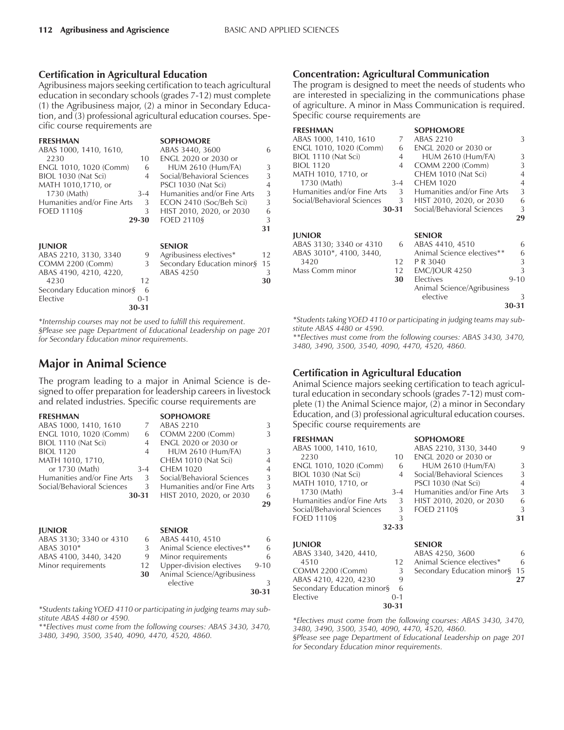#### **Certification in Agricultural Education**

Agribusiness majors seeking certification to teach agricultural education in secondary schools (grades 7-12) must complete (1) the Agribusiness major, (2) a minor in Secondary Education, and (3) professional agricultural education courses. Specific course requirements are

| <b>FRESHMAN</b>             |         | <b>SOPHOMORE</b>            |               |
|-----------------------------|---------|-----------------------------|---------------|
| ABAS 1000, 1410, 1610,      |         | ABAS 3440, 3600             | 6             |
| 2230                        | 10      | ENGL 2020 or 2030 or        |               |
| ENGL 1010, 1020 (Comm)      | 6       | <b>HUM 2610 (Hum/FA)</b>    | 3             |
| BIOL 1030 (Nat Sci)         | 4       | Social/Behavioral Sciences  | $\mathcal{L}$ |
| MATH 1010,1710, or          |         | PSCI 1030 (Nat Sci)         | 4             |
| 1730 (Math)                 | $3 - 4$ | Humanities and/or Fine Arts | 3             |
| Humanities and/or Fine Arts | 3       | ECON 2410 (Soc/Beh Sci)     | 3             |
| <b>FOED 1110§</b>           | 3       | HIST 2010, 2020, or 2030    | 6             |
|                             | 29-30   | <b>FOED 2110§</b>           | 3             |
|                             |         |                             | 31            |

| <b>IUNIOR</b>                    |         | <b>SENIOR</b>                 |    |
|----------------------------------|---------|-------------------------------|----|
| ABAS 2210, 3130, 3340            |         | Agribusiness electives*       | 12 |
| <b>COMM 2200 (Comm)</b>          |         | Secondary Education minor§ 15 |    |
| ABAS 4190, 4210, 4220,           |         | ABAS 4250                     | 3  |
| 4230                             | 12      |                               | 30 |
| Secondary Education minor $\S$ 6 |         |                               |    |
| Elective                         | $0 - 1$ |                               |    |
|                                  | 30-31   |                               |    |

\**Internship courses may not be used to fulfill this requirement. ßPlease see page Department of Educational Leadership on page 201 for Secondary Education minor requirements.*

# **Major in Animal Science**

The program leading to a major in Animal Science is designed to offer preparation for leadership careers in livestock and related industries. Specific course requirements are

**FRESHMAN SOPHOMORE**<br>ABAS 1000, 1410, 1610 7 ABAS 2210 ABAS 1000, 1410, 1610 7 ABAS 2210 3<br>ENGL 1010, 1020 (Comm) 6 COMM 2200 (Comm) 3 ENGL 1010, 1020 (Comm) 6 COMM 2200 (Comm) 3 BIOL 1110 (Nat Sci) 4 ENGL 2020 or 2030 or BIOL 1120 4 HUM 2610 (Hum/FA) 3<br>MATH 1010, 1710, CHEM 1010 (Nat Sci) 4 CHEM 1010 (Nat Sci)<br>3-4 CHEM 1020 or 1730 (Math) 3-4 CHEM 1020 4 Humanities and/or Fine Arts 3 Social/Behavioral Sciences 3 Social/Behavioral Sciences 3 Humanities and/or Fine Arts 30-31 HIST 2010, 2020, or 2030 **30-31** HIST 2010, 2020, or 2030 6 **29**

| <b>IUNIOR</b>           |    | <b>SENIOR</b>               |          |
|-------------------------|----|-----------------------------|----------|
| ABAS 3130; 3340 or 4310 |    | ABAS 4410, 4510             | 6        |
| ABAS 3010*              |    | Animal Science electives**  | 6        |
| ABAS 4100, 3440, 3420   | 9  | Minor requirements          | 6        |
| Minor requirements      | 12 | Upper-division electives    | $9 - 10$ |
|                         | 30 | Animal Science/Agribusiness |          |
|                         |    | elective                    |          |
|                         |    |                             | 30-31    |

*\*Students taking YOED 4110 or participating in judging teams may substitute ABAS 4480 or 4590.*

*\*\*Electives must come from the following courses: ABAS 3430, 3470, 3480, 3490, 3500, 3540, 4090, 4470, 4520, 4860.*

#### **Concentration: Agricultural Communication**

The program is designed to meet the needs of students who are interested in specializing in the communications phase of agriculture. A minor in Mass Communication is required. Specific course requirements are

| <b>FRESHMAN</b>             |         | <b>SOPHOMORE</b>            |                |
|-----------------------------|---------|-----------------------------|----------------|
| ABAS 1000, 1410, 1610       | 7       | <b>ABAS 2210</b>            | 3              |
| ENGL 1010, 1020 (Comm)      | 6       | ENGL 2020 or 2030 or        |                |
| BIOL 1110 (Nat Sci)         | 4       | <b>HUM 2610 (Hum/FA)</b>    | 3              |
| <b>BIOL 1120</b>            | 4       | <b>COMM 2200 (Comm)</b>     | 3              |
| MATH 1010, 1710, or         |         | CHEM 1010 (Nat Sci)         | 4              |
| 1730 (Math)                 | $3 - 4$ | <b>CHEM 1020</b>            | $\overline{4}$ |
| Humanities and/or Fine Arts | 3       | Humanities and/or Fine Arts | 3              |
| Social/Behavioral Sciences  | 3       | HIST 2010, 2020, or 2030    | 6              |
|                             | 30-31   | Social/Behavioral Sciences  | 3              |
|                             |         |                             | 29             |
| <b>JUNIOR</b>               |         | <b>SENIOR</b>               |                |
| ABAS 3130; 3340 or 4310     | 6       | ABAS 4410, 4510             | 6              |
| ABAS 3010*, 4100, 3440,     |         | Animal Science electives**  | 6              |
| 3420                        | 12      | P R 3040                    | 3              |
| Mass Comm minor             | 12      | <b>EMC/JOUR 4250</b>        | 3              |
|                             | 30      | Electives                   | $9 - 10$       |
|                             |         | Animal Science/Agribusiness |                |
|                             |         | elective                    | 3              |
|                             |         |                             | 30-31          |
|                             |         |                             |                |

*\*Students taking YOED 4110 or participating in judging teams may substitute ABAS 4480 or 4590.*

*\*\*Electives must come from the following courses: ABAS 3430, 3470, 3480, 3490, 3500, 3540, 4090, 4470, 4520, 4860.*

#### **Certification in Agricultural Education**

Animal Science majors seeking certification to teach agricultural education in secondary schools (grades 7-12) must complete (1) the Animal Science major, (2) a minor in Secondary Education, and (3) professional agricultural education courses. Specific course requirements are

| <b>FRESHMAN</b>             |                | <b>SOPHOMORE</b>            |               |
|-----------------------------|----------------|-----------------------------|---------------|
| ABAS 1000, 1410, 1610,      |                | ABAS 2210, 3130, 3440       | 9             |
| 2230                        | 10             | <b>ENGL 2020 or 2030 or</b> |               |
| ENGL 1010, 1020 (Comm)      | 6              | <b>HUM 2610 (Hum/FA)</b>    | 3             |
| BIOL 1030 (Nat Sci)         | $\overline{4}$ | Social/Behavioral Sciences  | $\mathcal{L}$ |
| MATH 1010, 1710, or         |                | PSCI 1030 (Nat Sci)         | 4             |
| 1730 (Math)                 | $3 - 4$        | Humanities and/or Fine Arts | 3             |
| Humanities and/or Fine Arts | 3              | HIST 2010, 2020, or 2030    | 6             |
| Social/Behavioral Sciences  | 3              | <b>FOED 21109</b>           | 3             |
| <b>FOED 11109</b>           | 3              |                             | 31            |
|                             | 32-33          |                             |               |
| <b>JUNIOR</b>               |                | <b>SENIOR</b>               |               |
| ABAS 3340, 3420, 4410,      |                | ABAS 4250, 3600             | 6             |
| 4510                        | 12             | Animal Science electives*   | 6             |
|                             |                |                             |               |

COMM 2200 (Comm) 3 Secondary Education minorß 15 ABAS 4210, 4220, 4230 Secondary Education minor§ 6 Elective 0-1 **30-31**

*\*Electives must come from the following courses: ABAS 3430, 3470, 3480, 3490, 3500, 3540, 4090, 4470, 4520, 4860.*

*ßPlease see page Department of Educational Leadership on page 201 for Secondary Education minor requirements.*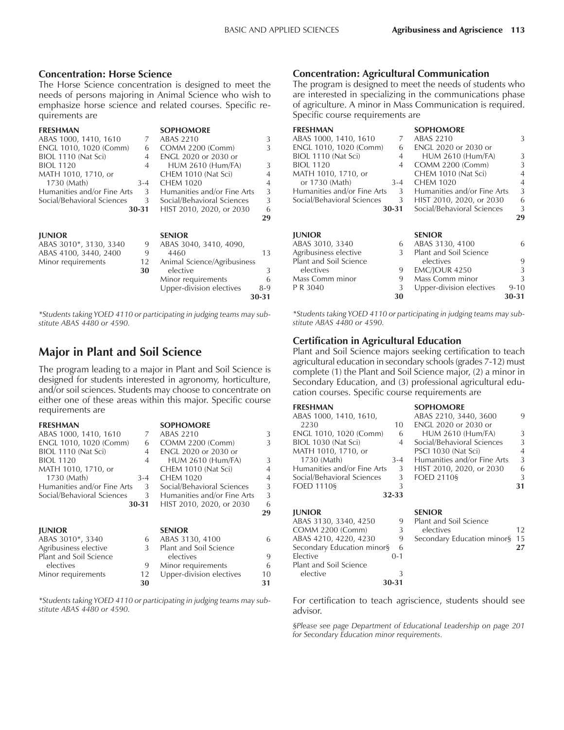#### **Concentration: Horse Science**

The Horse Science concentration is designed to meet the needs of persons majoring in Animal Science who wish to emphasize horse science and related courses. Specific requirements are

| <b>FRESHMAN</b>             |         | <b>SOPHOMORE</b>            |                |
|-----------------------------|---------|-----------------------------|----------------|
| ABAS 1000, 1410, 1610       | 7       | ABAS 2210                   | 3              |
| ENGL 1010, 1020 (Comm)      | 6       | COMM 2200 (Comm)            | 3              |
| BIOL 1110 (Nat Sci)         | 4       | <b>ENGL 2020 or 2030 or</b> |                |
| <b>BIOL 1120</b>            | 4       | <b>HUM 2610 (Hum/FA)</b>    | 3              |
| MATH 1010, 1710, or         |         | CHEM 1010 (Nat Sci)         | $\overline{4}$ |
| 1730 (Math)                 | $3 - 4$ | <b>CHEM 1020</b>            | 4              |
| Humanities and/or Fine Arts | 3       | Humanities and/or Fine Arts | 3              |
| Social/Behavioral Sciences  | 3       | Social/Behavioral Sciences  | 3              |
|                             | 30-31   | HIST 2010, 2020, or 2030    | 6              |
|                             |         |                             | 29             |
| <b>JUNIOR</b>               |         | <b>SENIOR</b>               |                |
| ABAS 3010*, 3130, 3340      | 9       | ABAS 3040, 3410, 4090,      |                |
| ABAS 4100, 3440, 2400       | 9       | 4460                        | 13             |
| Minor requirements          | 12      | Animal Science/Agribusiness |                |
|                             | 30      | elective                    | 3              |
|                             |         | Minor requirements          | 6              |
|                             |         | Upper-division electives    | 8-9            |
|                             |         |                             | 30-31          |

*\*Students taking YOED 4110 or participating in judging teams may substitute ABAS 4480 or 4590.*

### **Major in Plant and Soil Science**

The program leading to a major in Plant and Soil Science is designed for students interested in agronomy, horticulture, and/or soil sciences. Students may choose to concentrate on either one of these areas within this major. Specific course requirements are

| <b>FRESHMAN</b>               |                | <b>SOPHOMORE</b>            |    |
|-------------------------------|----------------|-----------------------------|----|
| ABAS 1000, 1410, 1610         | 7              | ABAS 2210                   | 3  |
| ENGL 1010, 1020 (Comm)        | 6              | COMM 2200 (Comm)            | 3  |
| BIOL 1110 (Nat Sci)           | 4              | ENGL 2020 or 2030 or        |    |
| <b>BIOL 1120</b>              | $\overline{4}$ | <b>HUM 2610 (Hum/FA)</b>    | 3  |
| MATH 1010, 1710, or           |                | CHEM 1010 (Nat Sci)         | 4  |
| 1730 (Math)                   | $3 - 4$        | <b>CHEM 1020</b>            | 4  |
| Humanities and/or Fine Arts   | 3              | Social/Behavioral Sciences  | 3  |
| Social/Behavioral Sciences    | 3              | Humanities and/or Fine Arts | 3  |
|                               | 30-31          | HIST 2010, 2020, or 2030    | 6  |
|                               |                |                             | 29 |
| <b>JUNIOR</b>                 |                | <b>SENIOR</b>               |    |
| ABAS 3010*, 3340              | 6              | ABAS 3130, 4100             | 6  |
| Agribusiness elective         | 3              | Plant and Soil Science      |    |
| <b>Plant and Soil Science</b> |                | electives                   | 9  |
| electives                     | 9              | Minor requirements          | 6  |
| Minor requirements            | 12             | Upper-division electives    | 10 |

*\*Students taking YOED 4110 or participating in judging teams may substitute ABAS 4480 or 4590.*

**30 31**

#### **Concentration: Agricultural Communication**

The program is designed to meet the needs of students who are interested in specializing in the communications phase of agriculture. A minor in Mass Communication is required. Specific course requirements are

| <b>FRESHMAN</b>             |       | <b>SOPHOMORE</b>            |          |
|-----------------------------|-------|-----------------------------|----------|
| ABAS 1000, 1410, 1610       | 7     | ABAS 2210                   | 3        |
| ENGL 1010, 1020 (Comm)      | 6     | <b>ENGL 2020 or 2030 or</b> |          |
| BIOL 1110 (Nat Sci)         | 4     | <b>HUM 2610 (Hum/FA)</b>    | 3        |
| <b>BIOL 1120</b>            | 4     | COMM 2200 (Comm)            | 3        |
| MATH 1010, 1710, or         |       | CHEM 1010 (Nat Sci)         | 4        |
| or 1730 (Math)              | $3-4$ | <b>CHEM 1020</b>            | 4        |
| Humanities and/or Fine Arts | 3     | Humanities and/or Fine Arts | 3        |
| Social/Behavioral Sciences  | 3     | HIST 2010, 2020, or 2030    | 6        |
|                             | 30-31 | Social/Behavioral Sciences  | 3        |
|                             |       |                             | 29       |
|                             |       |                             |          |
| <b>JUNIOR</b>               |       | <b>SENIOR</b>               |          |
| ABAS 3010, 3340             | 6     | ABAS 3130, 4100             | 6        |
| Agribusiness elective       | 3     | Plant and Soil Science      |          |
| Plant and Soil Science      |       | electives                   | 9        |
| electives                   | 9     | <b>EMC/JOUR 4250</b>        | 3        |
| Mass Comm minor             | 9     | Mass Comm minor             | 3        |
|                             |       |                             |          |
| P R 3040                    | 3     | Upper-division electives    | $9 - 10$ |

*\*Students taking YOED 4110 or participating in judging teams may substitute ABAS 4480 or 4590.*

#### **Certification in Agricultural Education**

Plant and Soil Science majors seeking certification to teach agricultural education in secondary schools (grades 7-12) must complete (1) the Plant and Soil Science major, (2) a minor in Secondary Education, and (3) professional agricultural education courses. Specific course requirements are

| <b>FRESHMAN</b>             |         | <b>SOPHOMORE</b>            |                |
|-----------------------------|---------|-----------------------------|----------------|
| ABAS 1000, 1410, 1610,      |         | ABAS 2210, 3440, 3600       | q              |
| 2230                        | 10      | ENGL 2020 or 2030 or        |                |
| ENGL 1010, 1020 (Comm)      | 6       | <b>HUM 2610 (Hum/FA)</b>    | 3              |
| BIOL 1030 (Nat Sci)         | 4       | Social/Behavioral Sciences  | 3              |
| MATH 1010, 1710, or         |         | PSCI 1030 (Nat Sci)         | $\overline{4}$ |
| 1730 (Math)                 | $3 - 4$ | Humanities and/or Fine Arts | 3              |
| Humanities and/or Fine Arts | 3       | HIST 2010, 2020, or 2030    | 6              |
| Social/Behavioral Sciences  | 3       | <b>FOED 2110§</b>           | 3              |
| <b>FOED 11109</b>           | 3       |                             | 31             |
|                             | 32-33   |                             |                |
|                             |         |                             |                |

| 9                               | Plant and Soil Science |                                                |
|---------------------------------|------------------------|------------------------------------------------|
| 3                               | electives              | 12.                                            |
| 9                               |                        |                                                |
| Secondary Education minor§<br>6 |                        |                                                |
| $0 - 1$                         |                        |                                                |
|                                 |                        |                                                |
|                                 |                        |                                                |
| 30-31                           |                        |                                                |
|                                 |                        | <b>SENIOR</b><br>Secondary Education minor§ 15 |

For certification to teach agriscience, students should see advisor.

*ßPlease see page Department of Educational Leadership on page 201 for Secondary Education minor requirements.*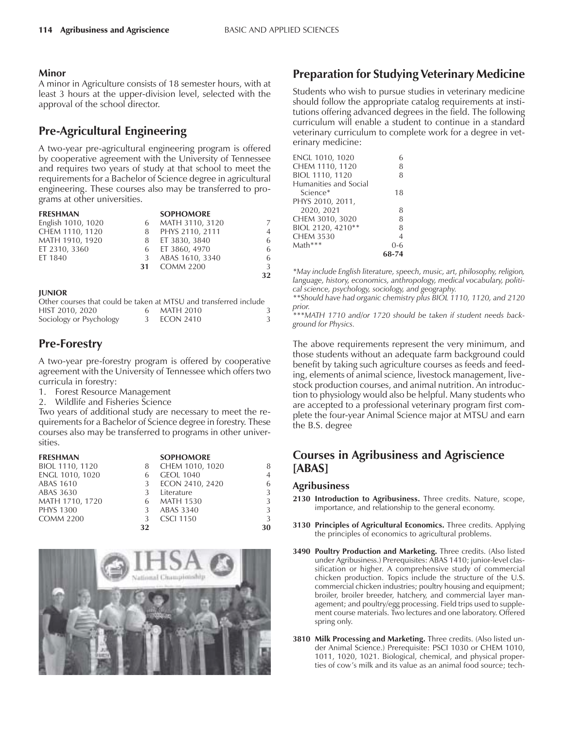#### **Minor**

A minor in Agriculture consists of 18 semester hours, with at least 3 hours at the upper-division level, selected with the approval of the school director.

# **Pre-Agricultural Engineering**

A two-year pre-agricultural engineering program is offered by cooperative agreement with the University of Tennessee and requires two years of study at that school to meet the requirements for a Bachelor of Science degree in agricultural engineering. These courses also may be transferred to programs at other universities.

| <b>FRESHMAN</b>    |    | <b>SOPHOMORE</b> |                |
|--------------------|----|------------------|----------------|
| English 1010, 1020 | 6  | MATH 3110, 3120  | 7              |
| CHEM 1110, 1120    | 8  | PHYS 2110, 2111  | $\overline{4}$ |
| MATH 1910, 1920    | 8  | ET 3830, 3840    | 6              |
| ET 2310, 3360      |    | 6 ET 3860, 4970  | 6              |
| ET 1840            | 3  | ABAS 1610, 3340  | 6              |
|                    | 31 | <b>COMM 2200</b> | 3              |
|                    |    |                  | 32             |

#### **JUNIOR**

|                         | Other courses that could be taken at MTSU and transferred include |  |
|-------------------------|-------------------------------------------------------------------|--|
| HIST 2010, 2020         | 6 MATH 2010                                                       |  |
| Sociology or Psychology | 3 ECON 2410                                                       |  |

# **Pre-Forestry**

A two-year pre-forestry program is offered by cooperative agreement with the University of Tennessee which offers two curricula in forestry:

- 1. Forest Resource Management
- 2. Wildlife and Fisheries Science

Two years of additional study are necessary to meet the requirements for a Bachelor of Science degree in forestry. These courses also may be transferred to programs in other universities.

| <b>FRESHMAN</b>  |    | <b>SOPHOMORE</b> |                |
|------------------|----|------------------|----------------|
| BIOL 1110, 1120  | 8  | CHEM 1010, 1020  | 8              |
| ENGL 1010, 1020  | 6  | <b>GEOL 1040</b> | $\overline{4}$ |
| <b>ABAS 1610</b> | 3  | ECON 2410, 2420  | 6              |
| ABAS 3630        | 3  | Literature       | 3              |
| MATH 1710, 1720  | 6  | <b>MATH 1530</b> | 3              |
| <b>PHYS 1300</b> | 3  | ABAS 3340        | 3              |
| <b>COMM 2200</b> | 3  | <b>CSCI 1150</b> | 3              |
|                  | 32 |                  | 30             |



# **Preparation for Studying Veterinary Medicine**

Students who wish to pursue studies in veterinary medicine should follow the appropriate catalog requirements at institutions offering advanced degrees in the field. The following curriculum will enable a student to continue in a standard veterinary curriculum to complete work for a degree in veterinary medicine:

| ENGL 1010, 1020       | 6       |
|-----------------------|---------|
|                       |         |
| CHEM 1110, 1120       | 8       |
| BIOL 1110, 1120       | 8       |
| Humanities and Social |         |
| Science*              | 18      |
| PHYS 2010, 2011,      |         |
| 2020, 2021            | 8       |
| CHEM 3010, 3020       | 8       |
| BIOL 2120, 4210**     | 8       |
| <b>CHEM 3530</b>      | 4       |
| Math***               | $0 - 6$ |
|                       | 68-74   |
|                       |         |

*\*May include English literature, speech, music, art, philosophy, religion, language, history, economics, anthropology, medical vocabulary, political science, psychology, sociology, and geography.*

*\*\*Should have had organic chemistry plus BIOL 1110, 1120, and 2120 prior.*

*\*\*\*MATH 1710 and/or 1720 should be taken if student needs background for Physics.*

The above requirements represent the very minimum, and those students without an adequate farm background could benefit by taking such agriculture courses as feeds and feeding, elements of animal science, livestock management, livestock production courses, and animal nutrition. An introduction to physiology would also be helpful. Many students who are accepted to a professional veterinary program first complete the four-year Animal Science major at MTSU and earn the B.S. degree

# **Courses in Agribusiness and Agriscience [ABAS]**

#### **Agribusiness**

- **2130 Introduction to Agribusiness.** Three credits. Nature, scope, importance, and relationship to the general economy.
- **3130 Principles of Agricultural Economics.** Three credits. Applying the principles of economics to agricultural problems.
- **3490 Poultry Production and Marketing.** Three credits. (Also listed under Agribusiness.) Prerequisites: ABAS 1410; junior-level classification or higher. A comprehensive study of commercial chicken production. Topics include the structure of the U.S. commercial chicken industries; poultry housing and equipment; broiler, broiler breeder, hatchery, and commercial layer management; and poultry/egg processing. Field trips used to supplement course materials. Two lectures and one laboratory. Offered spring only.
- **3810 Milk Processing and Marketing.** Three credits. (Also listed under Animal Science.) Prerequisite: PSCI 1030 or CHEM 1010, 1011, 1020, 1021. Biological, chemical, and physical properties of cow's milk and its value as an animal food source; tech-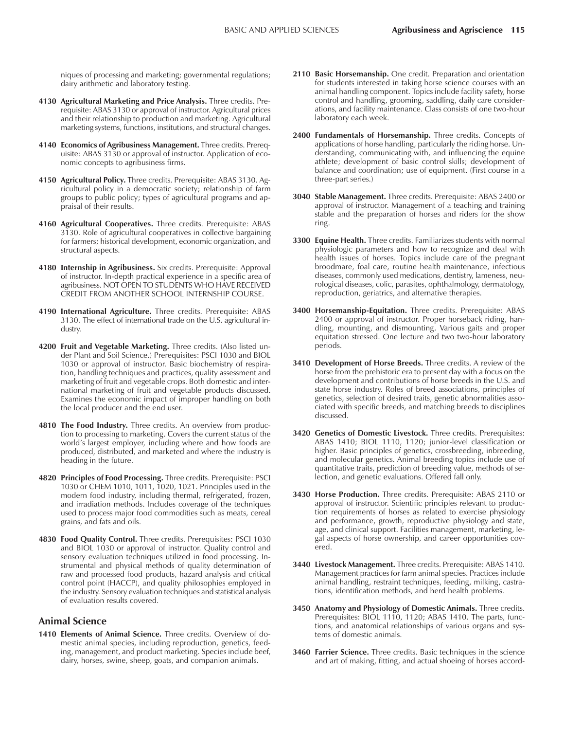niques of processing and marketing; governmental regulations; dairy arithmetic and laboratory testing.

- **4130 Agricultural Marketing and Price Analysis.** Three credits. Prerequisite: ABAS 3130 or approval of instructor. Agricultural prices and their relationship to production and marketing. Agricultural marketing systems, functions, institutions, and structural changes.
- **4140 Economics of Agribusiness Management.** Three credits. Prerequisite: ABAS 3130 or approval of instructor. Application of economic concepts to agribusiness firms.
- **4150 Agricultural Policy.** Three credits. Prerequisite: ABAS 3130. Agricultural policy in a democratic society; relationship of farm groups to public policy; types of agricultural programs and appraisal of their results.
- **4160 Agricultural Cooperatives.** Three credits. Prerequisite: ABAS 3130. Role of agricultural cooperatives in collective bargaining for farmers; historical development, economic organization, and structural aspects.
- **4180 Internship in Agribusiness.** Six credits. Prerequisite: Approval of instructor. In-depth practical experience in a specific area of agribusiness. NOT OPEN TO STUDENTS WHO HAVE RECEIVED CREDIT FROM ANOTHER SCHOOL INTERNSHIP COURSE.
- **4190 International Agriculture.** Three credits. Prerequisite: ABAS 3130. The effect of international trade on the U.S. agricultural industry.
- **4200 Fruit and Vegetable Marketing.** Three credits. (Also listed under Plant and Soil Science.) Prerequisites: PSCI 1030 and BIOL 1030 or approval of instructor. Basic biochemistry of respiration, handling techniques and practices, quality assessment and marketing of fruit and vegetable crops. Both domestic and international marketing of fruit and vegetable products discussed. Examines the economic impact of improper handling on both the local producer and the end user.
- **4810 The Food Industry.** Three credits. An overview from production to processing to marketing. Covers the current status of the world's largest employer, including where and how foods are produced, distributed, and marketed and where the industry is heading in the future.
- **4820 Principles of Food Processing.** Three credits. Prerequisite: PSCI 1030 or CHEM 1010, 1011, 1020, 1021. Principles used in the modern food industry, including thermal, refrigerated, frozen, and irradiation methods. Includes coverage of the techniques used to process major food commodities such as meats, cereal grains, and fats and oils.
- **4830 Food Quality Control.** Three credits. Prerequisites: PSCI 1030 and BIOL 1030 or approval of instructor. Quality control and sensory evaluation techniques utilized in food processing. Instrumental and physical methods of quality determination of raw and processed food products, hazard analysis and critical control point (HACCP), and quality philosophies employed in the industry. Sensory evaluation techniques and statistical analysis of evaluation results covered.

#### **Animal Science**

**1410 Elements of Animal Science.** Three credits. Overview of domestic animal species, including reproduction, genetics, feeding, management, and product marketing. Species include beef, dairy, horses, swine, sheep, goats, and companion animals.

- **2110 Basic Horsemanship.** One credit. Preparation and orientation for students interested in taking horse science courses with an animal handling component. Topics include facility safety, horse control and handling, grooming, saddling, daily care considerations, and facility maintenance. Class consists of one two-hour laboratory each week.
- 2400 Fundamentals of Horsemanship. Three credits. Concepts of applications of horse handling, particularly the riding horse. Understanding, communicating with, and influencing the equine athlete; development of basic control skills; development of balance and coordination; use of equipment. (First course in a three-part series.)
- **3040 Stable Management.** Three credits. Prerequisite: ABAS 2400 or approval of instructor. Management of a teaching and training stable and the preparation of horses and riders for the show ring.
- **3300 Equine Health.** Three credits. Familiarizes students with normal physiologic parameters and how to recognize and deal with health issues of horses. Topics include care of the pregnant broodmare, foal care, routine health maintenance, infectious diseases, commonly used medications, dentistry, lameness, neurological diseases, colic, parasites, ophthalmology, dermatology, reproduction, geriatrics, and alternative therapies.
- **3400 Horsemanship-Equitation.** Three credits. Prerequisite: ABAS 2400 or approval of instructor. Proper horseback riding, handling, mounting, and dismounting. Various gaits and proper equitation stressed. One lecture and two two-hour laboratory periods.
- **3410 Development of Horse Breeds.** Three credits. A review of the horse from the prehistoric era to present day with a focus on the development and contributions of horse breeds in the U.S. and state horse industry. Roles of breed associations, principles of genetics, selection of desired traits, genetic abnormalities associated with specific breeds, and matching breeds to disciplines discussed.
- **3420 Genetics of Domestic Livestock.** Three credits. Prerequisites: ABAS 1410; BIOL 1110, 1120; junior-level classification or higher. Basic principles of genetics, crossbreeding, inbreeding, and molecular genetics. Animal breeding topics include use of quantitative traits, prediction of breeding value, methods of selection, and genetic evaluations. Offered fall only.
- **3430 Horse Production.** Three credits. Prerequisite: ABAS 2110 or approval of instructor. Scientific principles relevant to production requirements of horses as related to exercise physiology and performance, growth, reproductive physiology and state, age, and clinical support. Facilities management, marketing, legal aspects of horse ownership, and career opportunities covered.
- **3440 Livestock Management.** Three credits. Prerequisite: ABAS 1410. Management practices for farm animal species. Practices include animal handling, restraint techniques, feeding, milking, castrations, identification methods, and herd health problems.
- **3450 Anatomy and Physiology of Domestic Animals.** Three credits. Prerequisites: BIOL 1110, 1120; ABAS 1410. The parts, functions, and anatomical relationships of various organs and systems of domestic animals.
- **3460 Farrier Science.** Three credits. Basic techniques in the science and art of making, fitting, and actual shoeing of horses accord-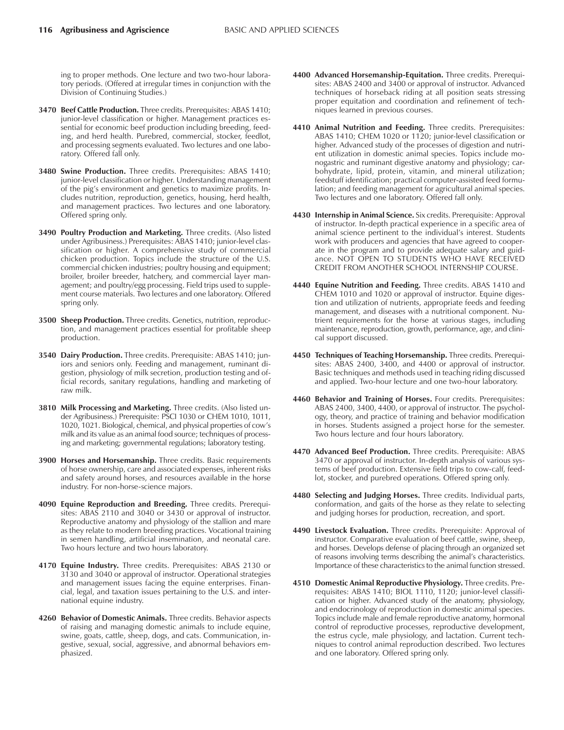ing to proper methods. One lecture and two two-hour laboratory periods. (Offered at irregular times in conjunction with the Division of Continuing Studies.)

- **3470 Beef Cattle Production.** Three credits. Prerequisites: ABAS 1410; junior-level classification or higher. Management practices essential for economic beef production including breeding, feeding, and herd health. Purebred, commercial, stocker, feedlot, and processing segments evaluated. Two lectures and one laboratory. Offered fall only.
- **3480 Swine Production.** Three credits. Prerequisites: ABAS 1410; junior-level classification or higher. Understanding management of the pig's environment and genetics to maximize profits. Includes nutrition, reproduction, genetics, housing, herd health, and management practices. Two lectures and one laboratory. Offered spring only.
- **3490 Poultry Production and Marketing.** Three credits. (Also listed under Agribusiness.) Prerequisites: ABAS 1410; junior-level classification or higher. A comprehensive study of commercial chicken production. Topics include the structure of the U.S. commercial chicken industries; poultry housing and equipment; broiler, broiler breeder, hatchery, and commercial layer management; and poultry/egg processing. Field trips used to supplement course materials. Two lectures and one laboratory. Offered spring only.
- **3500 Sheep Production.** Three credits. Genetics, nutrition, reproduction, and management practices essential for profitable sheep production.
- **3540 Dairy Production.** Three credits. Prerequisite: ABAS 1410; juniors and seniors only. Feeding and management, ruminant digestion, physiology of milk secretion, production testing and official records, sanitary regulations, handling and marketing of raw milk.
- **3810 Milk Processing and Marketing.** Three credits. (Also listed under Agribusiness.) Prerequisite: PSCI 1030 or CHEM 1010, 1011, 1020, 1021. Biological, chemical, and physical properties of cowís milk and its value as an animal food source; techniques of processing and marketing; governmental regulations; laboratory testing.
- **3900 Horses and Horsemanship.** Three credits. Basic requirements of horse ownership, care and associated expenses, inherent risks and safety around horses, and resources available in the horse industry. For non-horse-science majors.
- **4090 Equine Reproduction and Breeding.** Three credits. Prerequisites: ABAS 2110 and 3040 or 3430 or approval of instructor. Reproductive anatomy and physiology of the stallion and mare as they relate to modern breeding practices. Vocational training in semen handling, artificial insemination, and neonatal care. Two hours lecture and two hours laboratory.
- **4170 Equine Industry.** Three credits. Prerequisites: ABAS 2130 or 3130 and 3040 or approval of instructor. Operational strategies and management issues facing the equine enterprises. Financial, legal, and taxation issues pertaining to the U.S. and international equine industry.
- **4260 Behavior of Domestic Animals.** Three credits. Behavior aspects of raising and managing domestic animals to include equine, swine, goats, cattle, sheep, dogs, and cats. Communication, ingestive, sexual, social, aggressive, and abnormal behaviors emphasized.
- **4400 Advanced Horsemanship-Equitation.** Three credits. Prerequisites: ABAS 2400 and 3400 or approval of instructor. Advanced techniques of horseback riding at all position seats stressing proper equitation and coordination and refinement of techniques learned in previous courses.
- **4410 Animal Nutrition and Feeding.** Three credits. Prerequisites: ABAS 1410; CHEM 1020 or 1120; junior-level classification or higher. Advanced study of the processes of digestion and nutrient utilization in domestic animal species. Topics include monogastric and ruminant digestive anatomy and physiology; carbohydrate, lipid, protein, vitamin, and mineral utilization; feedstuff identification; practical computer-assisted feed formulation; and feeding management for agricultural animal species. Two lectures and one laboratory. Offered fall only.
- **4430 Internship in Animal Science.** Six credits. Prerequisite: Approval of instructor. In-depth practical experience in a specific area of animal science pertinent to the individual's interest. Students work with producers and agencies that have agreed to cooperate in the program and to provide adequate salary and guidance. NOT OPEN TO STUDENTS WHO HAVE RECEIVED CREDIT FROM ANOTHER SCHOOL INTERNSHIP COURSE.
- **4440 Equine Nutrition and Feeding.** Three credits. ABAS 1410 and CHEM 1010 and 1020 or approval of instructor. Equine digestion and utilization of nutrients, appropriate feeds and feeding management, and diseases with a nutritional component. Nutrient requirements for the horse at various stages, including maintenance, reproduction, growth, performance, age, and clinical support discussed.
- **4450 Techniques of Teaching Horsemanship.** Three credits. Prerequisites: ABAS 2400, 3400, and 4400 or approval of instructor. Basic techniques and methods used in teaching riding discussed and applied. Two-hour lecture and one two-hour laboratory.
- **4460 Behavior and Training of Horses.** Four credits. Prerequisites: ABAS 2400, 3400, 4400, or approval of instructor. The psychology, theory, and practice of training and behavior modification in horses. Students assigned a project horse for the semester. Two hours lecture and four hours laboratory.
- **4470 Advanced Beef Production.** Three credits. Prerequisite: ABAS 3470 or approval of instructor. In-depth analysis of various systems of beef production. Extensive field trips to cow-calf, feedlot, stocker, and purebred operations. Offered spring only.
- **4480 Selecting and Judging Horses.** Three credits. Individual parts, conformation, and gaits of the horse as they relate to selecting and judging horses for production, recreation, and sport.
- **4490 Livestock Evaluation.** Three credits. Prerequisite: Approval of instructor. Comparative evaluation of beef cattle, swine, sheep, and horses. Develops defense of placing through an organized set of reasons involving terms describing the animal's characteristics. Importance of these characteristics to the animal function stressed.
- **4510 Domestic Animal Reproductive Physiology.** Three credits. Prerequisites: ABAS 1410; BIOL 1110, 1120; junior-level classification or higher. Advanced study of the anatomy, physiology, and endocrinology of reproduction in domestic animal species. Topics include male and female reproductive anatomy, hormonal control of reproductive processes, reproductive development, the estrus cycle, male physiology, and lactation. Current techniques to control animal reproduction described. Two lectures and one laboratory. Offered spring only.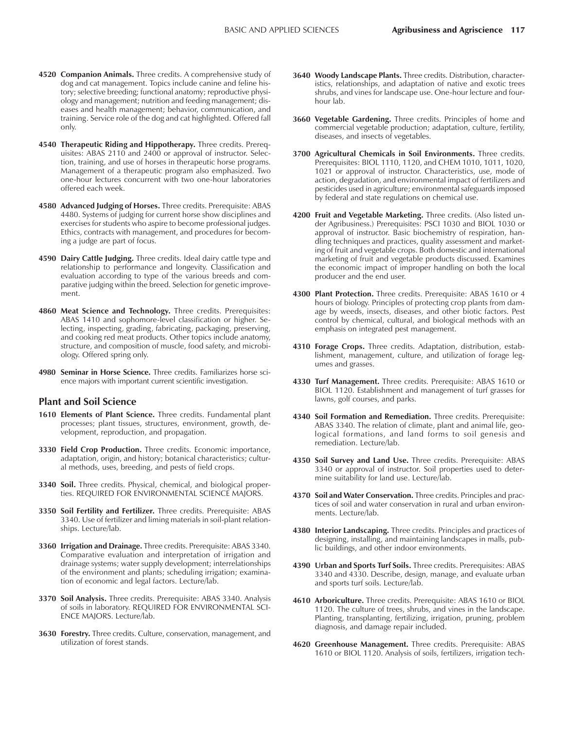- **4520 Companion Animals.** Three credits. A comprehensive study of dog and cat management. Topics include canine and feline history; selective breeding; functional anatomy; reproductive physiology and management; nutrition and feeding management; diseases and health management; behavior, communication, and training. Service role of the dog and cat highlighted. Offered fall only.
- **4540 Therapeutic Riding and Hippotherapy.** Three credits. Prerequisites: ABAS 2110 and 2400 or approval of instructor. Selection, training, and use of horses in therapeutic horse programs. Management of a therapeutic program also emphasized. Two one-hour lectures concurrent with two one-hour laboratories offered each week.
- **4580 Advanced Judging of Horses.** Three credits. Prerequisite: ABAS 4480. Systems of judging for current horse show disciplines and exercises for students who aspire to become professional judges. Ethics, contracts with management, and procedures for becoming a judge are part of focus.
- **4590 Dairy Cattle Judging.** Three credits. Ideal dairy cattle type and relationship to performance and longevity. Classification and evaluation according to type of the various breeds and comparative judging within the breed. Selection for genetic improvement.
- **4860 Meat Science and Technology.** Three credits. Prerequisites: ABAS 1410 and sophomore-level classification or higher. Selecting, inspecting, grading, fabricating, packaging, preserving, and cooking red meat products. Other topics include anatomy, structure, and composition of muscle, food safety, and microbiology. Offered spring only.
- **4980 Seminar in Horse Science.** Three credits. Familiarizes horse science majors with important current scientific investigation.

#### **Plant and Soil Science**

- **1610 Elements of Plant Science.** Three credits. Fundamental plant processes; plant tissues, structures, environment, growth, development, reproduction, and propagation.
- **3330 Field Crop Production.** Three credits. Economic importance, adaptation, origin, and history; botanical characteristics; cultural methods, uses, breeding, and pests of field crops.
- **3340 Soil.** Three credits. Physical, chemical, and biological properties. REQUIRED FOR ENVIRONMENTAL SCIENCE MAJORS.
- **3350 Soil Fertility and Fertilizer.** Three credits. Prerequisite: ABAS 3340. Use of fertilizer and liming materials in soil-plant relationships. Lecture/lab.
- **3360 Irrigation and Drainage.** Three credits. Prerequisite: ABAS 3340. Comparative evaluation and interpretation of irrigation and drainage systems; water supply development; interrelationships of the environment and plants; scheduling irrigation; examination of economic and legal factors. Lecture/lab.
- **3370 Soil Analysis.** Three credits. Prerequisite: ABAS 3340. Analysis of soils in laboratory. REQUIRED FOR ENVIRONMENTAL SCI-ENCE MAJORS. Lecture/lab.
- **3630 Forestry.** Three credits. Culture, conservation, management, and utilization of forest stands.
- **3640 Woody Landscape Plants.** Three credits. Distribution, characteristics, relationships, and adaptation of native and exotic trees shrubs, and vines for landscape use. One-hour lecture and fourhour lab.
- **3660 Vegetable Gardening.** Three credits. Principles of home and commercial vegetable production; adaptation, culture, fertility, diseases, and insects of vegetables.
- **3700 Agricultural Chemicals in Soil Environments.** Three credits. Prerequisites: BIOL 1110, 1120, and CHEM 1010, 1011, 1020, 1021 or approval of instructor. Characteristics, use, mode of action, degradation, and environmental impact of fertilizers and pesticides used in agriculture; environmental safeguards imposed by federal and state regulations on chemical use.
- **4200 Fruit and Vegetable Marketing.** Three credits. (Also listed under Agribusiness.) Prerequisites: PSCI 1030 and BIOL 1030 or approval of instructor. Basic biochemistry of respiration, handling techniques and practices, quality assessment and marketing of fruit and vegetable crops. Both domestic and international marketing of fruit and vegetable products discussed. Examines the economic impact of improper handling on both the local producer and the end user.
- **4300 Plant Protection.** Three credits. Prerequisite: ABAS 1610 or 4 hours of biology. Principles of protecting crop plants from damage by weeds, insects, diseases, and other biotic factors. Pest control by chemical, cultural, and biological methods with an emphasis on integrated pest management.
- **4310 Forage Crops.** Three credits. Adaptation, distribution, establishment, management, culture, and utilization of forage legumes and grasses.
- **4330 Turf Management.** Three credits. Prerequisite: ABAS 1610 or BIOL 1120. Establishment and management of turf grasses for lawns, golf courses, and parks.
- **4340 Soil Formation and Remediation.** Three credits. Prerequisite: ABAS 3340. The relation of climate, plant and animal life, geological formations, and land forms to soil genesis and remediation. Lecture/lab.
- **4350 Soil Survey and Land Use.** Three credits. Prerequisite: ABAS 3340 or approval of instructor. Soil properties used to determine suitability for land use. Lecture/lab.
- **4370 Soil and Water Conservation.** Three credits. Principles and practices of soil and water conservation in rural and urban environments. Lecture/lab.
- **4380 Interior Landscaping.** Three credits. Principles and practices of designing, installing, and maintaining landscapes in malls, public buildings, and other indoor environments.
- **4390 Urban and Sports Turf Soils.** Three credits. Prerequisites: ABAS 3340 and 4330. Describe, design, manage, and evaluate urban and sports turf soils. Lecture/lab.
- **4610 Arboriculture.** Three credits. Prerequisite: ABAS 1610 or BIOL 1120. The culture of trees, shrubs, and vines in the landscape. Planting, transplanting, fertilizing, irrigation, pruning, problem diagnosis, and damage repair included.
- **4620 Greenhouse Management.** Three credits. Prerequisite: ABAS 1610 or BIOL 1120. Analysis of soils, fertilizers, irrigation tech-